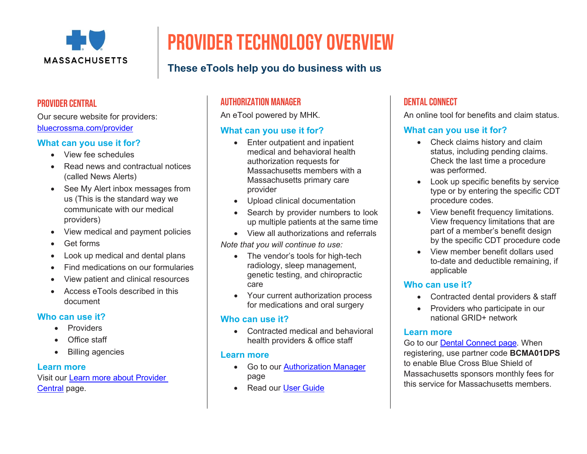

# Provider technology overview

# **These eTools help you do business with us**

#### Provider Central

#### Our secure website for providers: [bluecrossma.com/provider](http://www.bluecrossma.com/provider)

#### **What can you use it for?**

- View fee schedules
- Read news and contractual notices (called News Alerts)
- See My Alert inbox messages from us (This is the standard way we communicate with our medical providers)
- View medical and payment policies
- Get forms
- Look up medical and dental plans
- Find medications on our formularies
- View patient and clinical resources
- Access eTools described in this document

#### **Who can use it?**

- Providers
- Office staff
- Billing agencies

#### **Learn more**

Visit our [Learn more about Provider](https://provider.bluecrossma.com/ProviderHome/portal/home/Learn-more-about-Provider-Central/!ut/p/z1/1ZRdU6MwFIb_Cl50ZveC5kCApnsHfpQ6FbVqbbnZCTS1WSHBkBb77w1ud3UcbWfH8WK54SPPeU_OG85BKZqiVNA1v6OaS0EL8z5Lg5_QPzt2XOImJMERXA4m_eQoSFwAB93uA9J2-YMrBDRBKUqrnM_RDIOLc6_Xs7HDmO1RP7Mpprmdzf2AgNMnLCMtnQtd6SWaVUqu-Zwpq5JK08LKpdBMaKvgmaJq04G_QG4-K1p0QLCm7kBecMFzE0HF3KqWVJU0NzgtCksw3Uh1b6C5iTFIVqyY1T7zWtcWVcxqFNdc3FkL1hhpWXHJjYpida541dpWW9-okGJTylX9nOJP-PetW5MwiKOT2AVyfkRgOBmdXsTeGOAa_3Zrn9sv8cHJCQyTq_4wgghgCM_xO-RvW_8McjgIY683AiCjgQ_DML4Z9y8xhhBvgR0n9h4QQjR2IwwwOHe3wK5Nvt0mCQ3gTcBLQgcCHyWxLBmamWJ7H1aDA3S75qxBN0KaAyzQ1T_-STHsy4A_mWG3_Kn3tfKf9ed0389kZoOrzg7P7ows1Uubi4VE09ddhKZf0kUmMf_18JCGZha0Pf-o0fQ_HAbGYJ6V3SYvu9DFnot9L3BI4DuOT_xeW2UoMkyMvYotmGKqu1JmIi-1ruofHXgpqdvuK1eyrkvazWXZgYvtSttHhnu25D3BpaxfefdWB1XlTUnwhtv34-PFUZTYg8OMNNeL0tw2j37mF-tRGB4cPAHcpYCh/dz/d5/L2dJQSEvUUt3QS80TmxFL1o2X1ZBNkhCRkgyMEc3TjkwQTkzMlQ4QjgxMDA1/)  [Central](https://provider.bluecrossma.com/ProviderHome/portal/home/Learn-more-about-Provider-Central/!ut/p/z1/1ZRdU6MwFIb_Cl50ZveC5kCApnsHfpQ6FbVqbbnZCTS1WSHBkBb77w1ud3UcbWfH8WK54SPPeU_OG85BKZqiVNA1v6OaS0EL8z5Lg5_QPzt2XOImJMERXA4m_eQoSFwAB93uA9J2-YMrBDRBKUqrnM_RDIOLc6_Xs7HDmO1RP7Mpprmdzf2AgNMnLCMtnQtd6SWaVUqu-Zwpq5JK08LKpdBMaKvgmaJq04G_QG4-K1p0QLCm7kBecMFzE0HF3KqWVJU0NzgtCksw3Uh1b6C5iTFIVqyY1T7zWtcWVcxqFNdc3FkL1hhpWXHJjYpida541dpWW9-okGJTylX9nOJP-PetW5MwiKOT2AVyfkRgOBmdXsTeGOAa_3Zrn9sv8cHJCQyTq_4wgghgCM_xO-RvW_8McjgIY683AiCjgQ_DML4Z9y8xhhBvgR0n9h4QQjR2IwwwOHe3wK5Nvt0mCQ3gTcBLQgcCHyWxLBmamWJ7H1aDA3S75qxBN0KaAyzQ1T_-STHsy4A_mWG3_Kn3tfKf9ed0389kZoOrzg7P7ows1Uubi4VE09ddhKZf0kUmMf_18JCGZha0Pf-o0fQ_HAbGYJ6V3SYvu9DFnot9L3BI4DuOT_xeW2UoMkyMvYotmGKqu1JmIi-1ruofHXgpqdvuK1eyrkvazWXZgYvtSttHhnu25D3BpaxfefdWB1XlTUnwhtv34-PFUZTYg8OMNNeL0tw2j37mF-tRGB4cPAHcpYCh/dz/d5/L2dJQSEvUUt3QS80TmxFL1o2X1ZBNkhCRkgyMEc3TjkwQTkzMlQ4QjgxMDA1/) page.

## Authorization Manager

An eTool powered by MHK.

## **What can you use it for?**

- Enter outpatient and inpatient medical and behavioral health authorization requests for Massachusetts members with a Massachusetts primary care provider
- Upload clinical documentation
- Search by provider numbers to look up multiple patients at the same time
- View all authorizations and referrals

*Note that you will continue to use:*

- The vendor's tools for high-tech radiology, sleep management, genetic testing, and chiropractic care
- Your current authorization process for medications and oral surgery

#### **Who can use it?**

• Contracted medical and behavioral health providers & office staff

#### **Learn more**

- Go to our [Authorization Manager](https://provider.bluecrossma.com/ProviderHome/portal/home/etools/etools/aim-specialty-health/aim%20specialty%20health%20(non-secure)/) page
- Read our [User Guide](https://provider.bluecrossma.com/ProviderHome/wcm/connect/9b370fe7-5962-4f3d-bbc2-1ccd46b41726/MPC_012618-1L_MHK_Provider_User_Guide.pdf?MOD=AJPERES)

# Dental Connect

An online tool for benefits and claim status.

#### **What can you use it for?**

- Check claims history and claim status, including pending claims. Check the last time a procedure was performed.
- Look up specific benefits by service type or by entering the specific CDT procedure codes.
- View benefit frequency limitations. View frequency limitations that are part of a member's benefit design by the specific CDT procedure code
- View member benefit dollars used to-date and deductible remaining, if applicable

#### **Who can use it?**

- Contracted dental providers & staff
- Providers who participate in our national GRID+ network

#### **Learn more**

Go to our [Dental Connect page.](https://provider.bluecrossma.com/ProviderHome/portal/home/etools/etools/emdeon-dps/) When registering, use partner code **BCMA01DPS** to enable Blue Cross Blue Shield of Massachusetts sponsors monthly fees for this service for Massachusetts members.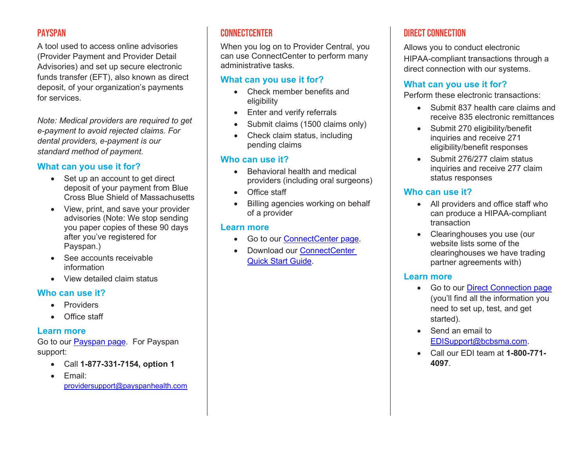#### Payspan

A tool used to access online advisories (Provider Payment and Provider Detail Advisories) and set up secure electronic funds transfer (EFT), also known as direct deposit, of your organization's payments for services.

*Note: Medical providers are required to get e-payment to avoid rejected claims. For dental providers, e-payment is our standard method of payment.*

#### **What can you use it for?**

- Set up an account to get direct deposit of your payment from Blue Cross Blue Shield of Massachusetts
- View, print, and save your provider advisories (Note: We stop sending you paper copies of these 90 days after you've registered for Payspan.)
- See accounts receivable information
- View detailed claim status

#### **Who can use it?**

- Providers
- Office staff

#### **Learn more**

Go to our [Payspan](https://provider.bluecrossma.com/ProviderHome/portal/home/etools/etools/pay-span/) page. For Payspan support:

- Call **1-877-331-7154, option 1**
- Email: [providersupport@payspanhealth.com](mailto:providersupport@payspanhealth.com)

#### **CONNECTCENTER**

When you log on to Provider Central, you can use ConnectCenter to perform many administrative tasks.

#### **What can you use it for?**

- Check member benefits and eligibility
- Enter and verify referrals
- Submit claims (1500 claims only)
- Check claim status, including pending claims

#### **Who can use it?**

- Behavioral health and medical providers (including oral surgeons)
- Office staff
- Billing agencies working on behalf of a provider

#### **Learn more**

- Go to our [ConnectCenter](https://provider.bluecrossma.com/ProviderHome/portal/home/etools/etools/connect-center/!ut/p/z1/nVJdb4IwFP0teyDZHqBXEIW9oQkg-3C6OF1fFoROm9HWtAXjv19xxsxkc2Z9aO49Pee0994ijBYI87yhq1xTwfPK5K-495a6o2HnLoBxkqVDmEyz0TRIfBcGXTTfE16iXjqIUxeChziG0aObRLM48ZJ-B-FL9HCyIhhM3YEHkIzd_-i_O12mP0PA5-3nCO8p5zpwShgHYWQIwzibPN8bE-9AONeDv16RIUyXzNkWzAHH60E37Hs--B2_1w_DdogRX3rBCmFJ3okk0qmlme1a6426tcCCjRQNLQ2-rGpSSKEUy51CMAueDiepYMTwhNR5ZcH6KzO_hHBtS6JELQuiDFTlXNk5L21jWdaFVnvzNrJFQ2RDyfaIWB0XjqCJ7XZjpKRFe0dFGdWkbDFO9FbID9XG1zkXfMdErW5-KmwtlEaL3-pBGzabzRZARzZe7rbR1SdA7Rx4/dz/d5/L2dBISEvZ0FBIS9nQSEh/) page.
- **Download our ConnectCenter** [Quick Start Guide.](https://provider.bluecrossma.com/ProviderHome/wcm/myconnect/b6674974-a2a4-42d4-bf7d-588a444a5f2b/MPC_020216-2M-QT_ConnectCenter.pdf?MOD=AJPERES)

#### DIRECT CONNECTION

Allows you to conduct electronic HIPAA-compliant transactions through a direct connection with our systems.

#### **What can you use it for?**

Perform these electronic transactions:

- Submit 837 health care claims and receive 835 electronic remittances
- Submit 270 eligibility/benefit inquiries and receive 271 eligibility/benefit responses
- Submit 276/277 claim status inquiries and receive 277 claim status responses

#### **Who can use it?**

- All providers and office staff who can produce a HIPAA-compliant transaction
- Clearinghouses you use (our website lists some of the clearinghouses we have trading partner agreements with)

#### **Learn more**

- Go to our Direct [Connection](https://provider.bluecrossma.com/ProviderHome/portal/home/etools/etools/direct-connection/) page (you'll find all the information you need to set up, test, and get started).
- Send an email to [EDISupport@bcbsma.com.](mailto:EDISupport@bcbsma.com)
- Call our EDI team at **1-800-771- 4097**.